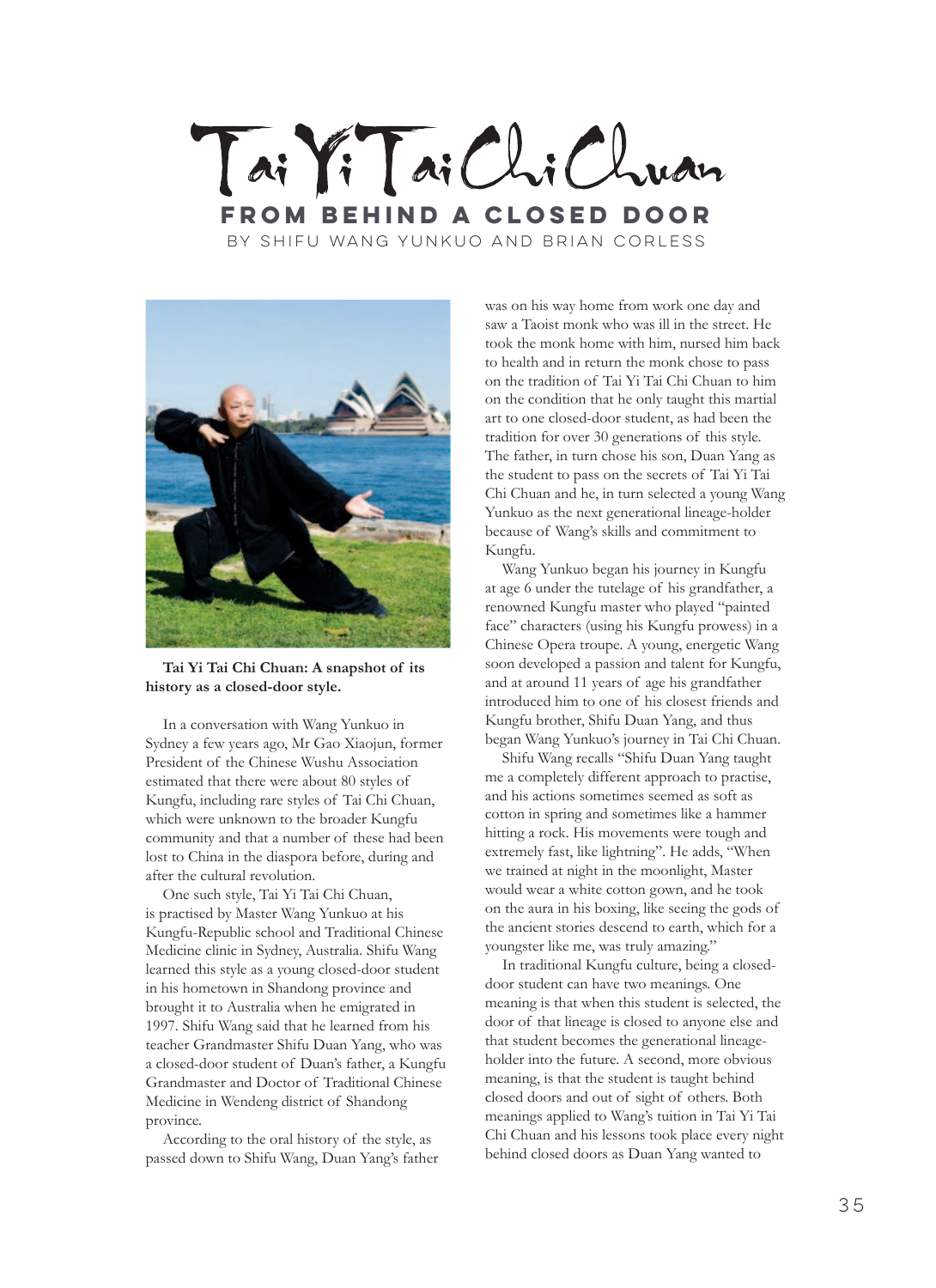



**Tai Yi Tai Chi Chuan: A snapshot of its history as a closed-door style.**

In a conversation with Wang Yunkuo in Sydney a few years ago, Mr Gao Xiaojun, former President of the Chinese Wushu Association estimated that there were about 80 styles of Kungfu, including rare styles of Tai Chi Chuan, which were unknown to the broader Kungfu community and that a number of these had been lost to China in the diaspora before, during and after the cultural revolution.

One such style, Tai Yi Tai Chi Chuan, is practised by Master Wang Yunkuo at his Kungfu-Republic school and Traditional Chinese Medicine clinic in Sydney, Australia. Shifu Wang learned this style as a young closed-door student in his hometown in Shandong province and brought it to Australia when he emigrated in 1997. Shifu Wang said that he learned from his teacher Grandmaster Shifu Duan Yang, who was a closed-door student of Duan's father, a Kungfu Grandmaster and Doctor of Traditional Chinese Medicine in Wendeng district of Shandong province.

According to the oral history of the style, as passed down to Shifu Wang, Duan Yang's father was on his way home from work one day and saw a Taoist monk who was ill in the street. He took the monk home with him, nursed him back to health and in return the monk chose to pass on the tradition of Tai Yi Tai Chi Chuan to him on the condition that he only taught this martial art to one closed-door student, as had been the tradition for over 30 generations of this style. The father, in turn chose his son, Duan Yang as the student to pass on the secrets of Tai Yi Tai Chi Chuan and he, in turn selected a young Wang Yunkuo as the next generational lineage-holder because of Wang's skills and commitment to Kungfu.

Wang Yunkuo began his journey in Kungfu at age 6 under the tutelage of his grandfather, a renowned Kungfu master who played "painted face" characters (using his Kungfu prowess) in a Chinese Opera troupe. A young, energetic Wang soon developed a passion and talent for Kungfu, and at around 11 years of age his grandfather introduced him to one of his closest friends and Kungfu brother, Shifu Duan Yang, and thus began Wang Yunkuo's journey in Tai Chi Chuan.

Shifu Wang recalls "Shifu Duan Yang taught me a completely different approach to practise, and his actions sometimes seemed as soft as cotton in spring and sometimes like a hammer hitting a rock. His movements were tough and extremely fast, like lightning". He adds, "When we trained at night in the moonlight, Master would wear a white cotton gown, and he took on the aura in his boxing, like seeing the gods of the ancient stories descend to earth, which for a youngster like me, was truly amazing."

In traditional Kungfu culture, being a closeddoor student can have two meanings. One meaning is that when this student is selected, the door of that lineage is closed to anyone else and that student becomes the generational lineageholder into the future. A second, more obvious meaning, is that the student is taught behind closed doors and out of sight of others. Both meanings applied to Wang's tuition in Tai Yi Tai Chi Chuan and his lessons took place every night behind closed doors as Duan Yang wanted to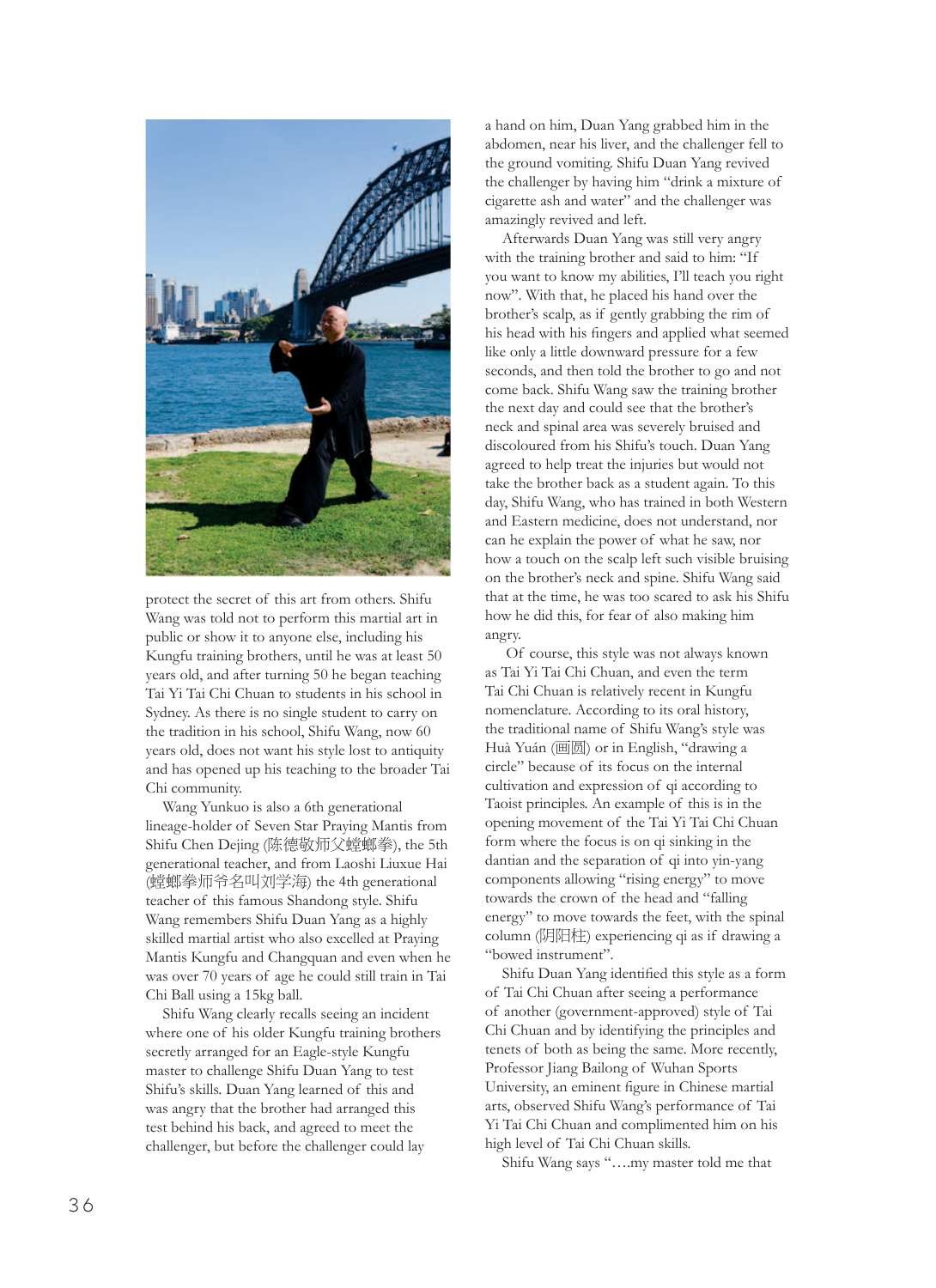

protect the secret of this art from others. Shifu Wang was told not to perform this martial art in public or show it to anyone else, including his Kungfu training brothers, until he was at least 50 years old, and after turning 50 he began teaching Tai Yi Tai Chi Chuan to students in his school in Sydney. As there is no single student to carry on the tradition in his school, Shifu Wang, now 60 years old, does not want his style lost to antiquity and has opened up his teaching to the broader Tai Chi community.

Wang Yunkuo is also a 6th generational lineage-holder of Seven Star Praying Mantis from Shifu Chen Dejing (陈德敬师父螳螂拳), the 5th generational teacher, and from Laoshi Liuxue Hai (螳螂拳师爷名叫刘学海) the 4th generational teacher of this famous Shandong style. Shifu Wang remembers Shifu Duan Yang as a highly skilled martial artist who also excelled at Praying Mantis Kungfu and Changquan and even when he was over 70 years of age he could still train in Tai Chi Ball using a 15kg ball.

Shifu Wang clearly recalls seeing an incident where one of his older Kungfu training brothers secretly arranged for an Eagle-style Kungfu master to challenge Shifu Duan Yang to test Shifu's skills. Duan Yang learned of this and was angry that the brother had arranged this test behind his back, and agreed to meet the challenger, but before the challenger could lay

a hand on him, Duan Yang grabbed him in the abdomen, near his liver, and the challenger fell to the ground vomiting. Shifu Duan Yang revived the challenger by having him "drink a mixture of cigarette ash and water" and the challenger was amazingly revived and left.

Afterwards Duan Yang was still very angry with the training brother and said to him: "If you want to know my abilities, I'll teach you right now". With that, he placed his hand over the brother's scalp, as if gently grabbing the rim of his head with his fingers and applied what seemed like only a little downward pressure for a few seconds, and then told the brother to go and not come back. Shifu Wang saw the training brother the next day and could see that the brother's neck and spinal area was severely bruised and discoloured from his Shifu's touch. Duan Yang agreed to help treat the injuries but would not take the brother back as a student again. To this day, Shifu Wang, who has trained in both Western and Eastern medicine, does not understand, nor can he explain the power of what he saw, nor how a touch on the scalp left such visible bruising on the brother's neck and spine. Shifu Wang said that at the time, he was too scared to ask his Shifu how he did this, for fear of also making him angry.

 Of course, this style was not always known as Tai Yi Tai Chi Chuan, and even the term Tai Chi Chuan is relatively recent in Kungfu nomenclature. According to its oral history, the traditional name of Shifu Wang's style was Huà Yuán (画圆) or in English, "drawing a circle" because of its focus on the internal cultivation and expression of qi according to Taoist principles. An example of this is in the opening movement of the Tai Yi Tai Chi Chuan form where the focus is on qi sinking in the dantian and the separation of qi into yin-yang components allowing "rising energy" to move towards the crown of the head and "falling energy" to move towards the feet, with the spinal column (阴阳柱) experiencing qi as if drawing a "bowed instrument".

Shifu Duan Yang identified this style as a form of Tai Chi Chuan after seeing a performance of another (government-approved) style of Tai Chi Chuan and by identifying the principles and tenets of both as being the same. More recently, Professor Jiang Bailong of Wuhan Sports University, an eminent figure in Chinese martial arts, observed Shifu Wang's performance of Tai Yi Tai Chi Chuan and complimented him on his high level of Tai Chi Chuan skills.

Shifu Wang says "….my master told me that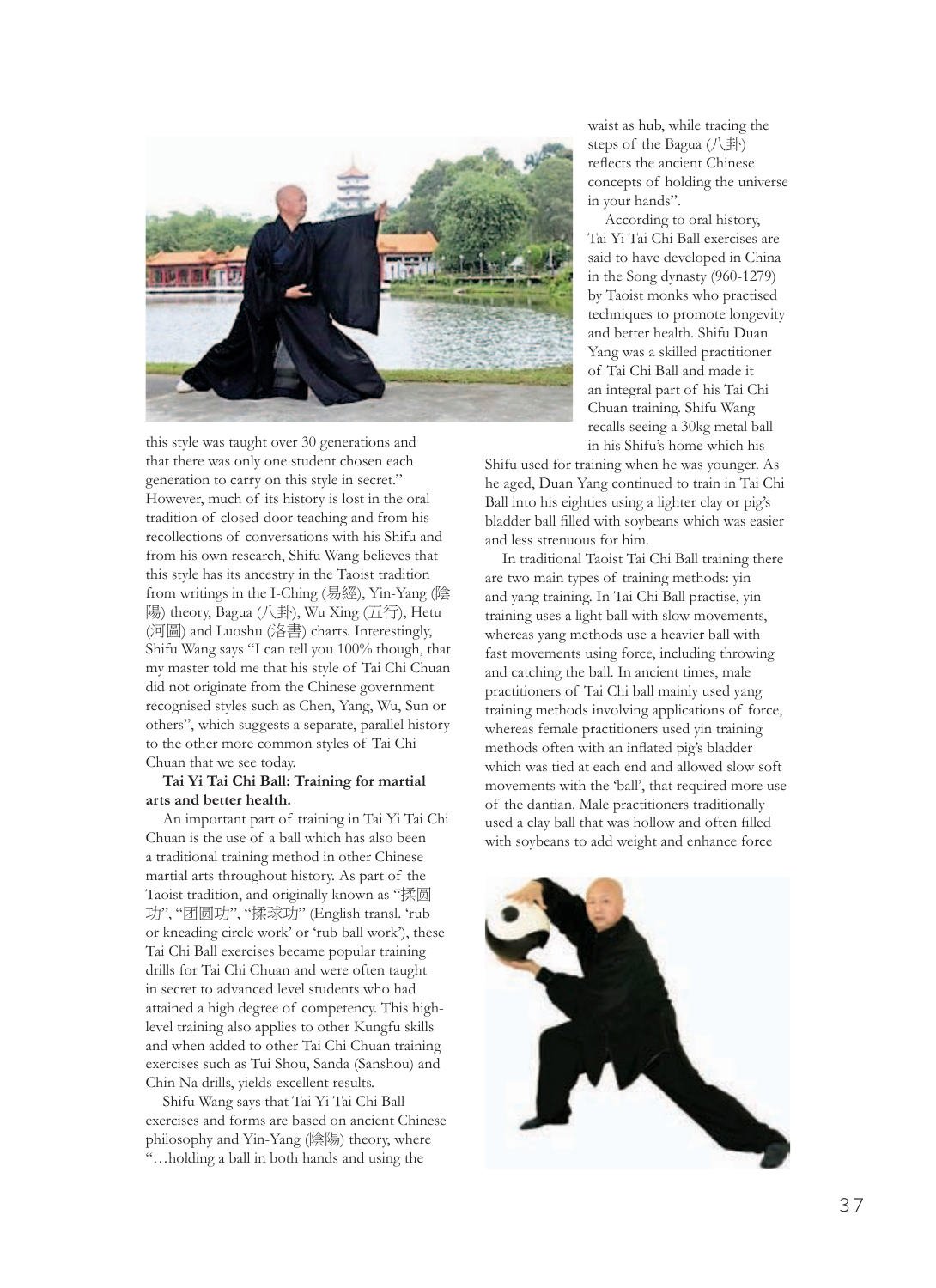

this style was taught over 30 generations and that there was only one student chosen each generation to carry on this style in secret." However, much of its history is lost in the oral tradition of closed-door teaching and from his recollections of conversations with his Shifu and from his own research, Shifu Wang believes that this style has its ancestry in the Taoist tradition from writings in the I-Ching (易經), Yin-Yang (陰 陽) theory, Bagua (八卦), Wu Xing (五行), Hetu (河圖) and Luoshu (洛書) charts. Interestingly, Shifu Wang says "I can tell you 100% though, that my master told me that his style of Tai Chi Chuan did not originate from the Chinese government recognised styles such as Chen, Yang, Wu, Sun or others", which suggests a separate, parallel history to the other more common styles of Tai Chi Chuan that we see today.

## **Tai Yi Tai Chi Ball: Training for martial arts and better health.**

An important part of training in Tai Yi Tai Chi Chuan is the use of a ball which has also been a traditional training method in other Chinese martial arts throughout history. As part of the Taoist tradition, and originally known as "揉圆 功", "团圆功", "揉球功" (English transl. 'rub or kneading circle work' or 'rub ball work'), these Tai Chi Ball exercises became popular training drills for Tai Chi Chuan and were often taught in secret to advanced level students who had attained a high degree of competency. This highlevel training also applies to other Kungfu skills and when added to other Tai Chi Chuan training exercises such as Tui Shou, Sanda (Sanshou) and Chin Na drills, yields excellent results.

Shifu Wang says that Tai Yi Tai Chi Ball exercises and forms are based on ancient Chinese philosophy and Yin-Yang (陰陽) theory, where "…holding a ball in both hands and using the

waist as hub, while tracing the steps of the Bagua (八卦) reflects the ancient Chinese concepts of holding the universe in your hands".

According to oral history, Tai Yi Tai Chi Ball exercises are said to have developed in China in the Song dynasty (960-1279) by Taoist monks who practised techniques to promote longevity and better health. Shifu Duan Yang was a skilled practitioner of Tai Chi Ball and made it an integral part of his Tai Chi Chuan training. Shifu Wang recalls seeing a 30kg metal ball in his Shifu's home which his

Shifu used for training when he was younger. As he aged, Duan Yang continued to train in Tai Chi Ball into his eighties using a lighter clay or pig's bladder ball filled with soybeans which was easier and less strenuous for him.

In traditional Taoist Tai Chi Ball training there are two main types of training methods: yin and yang training. In Tai Chi Ball practise, yin training uses a light ball with slow movements, whereas yang methods use a heavier ball with fast movements using force, including throwing and catching the ball. In ancient times, male practitioners of Tai Chi ball mainly used yang training methods involving applications of force, whereas female practitioners used yin training methods often with an inflated pig's bladder which was tied at each end and allowed slow soft movements with the 'ball', that required more use of the dantian. Male practitioners traditionally used a clay ball that was hollow and often filled with soybeans to add weight and enhance force

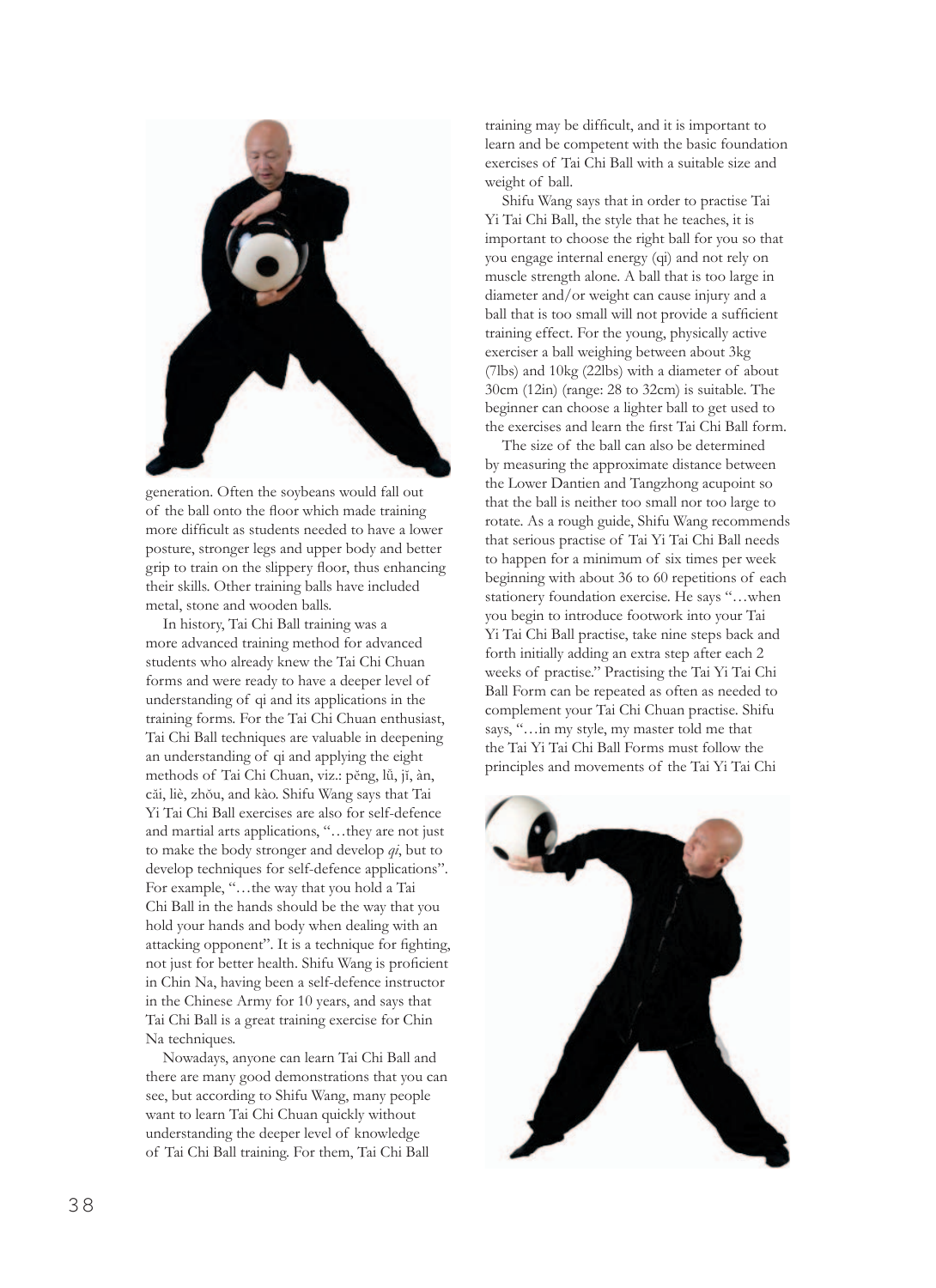

generation. Often the soybeans would fall out of the ball onto the floor which made training more difficult as students needed to have a lower posture, stronger legs and upper body and better grip to train on the slippery floor, thus enhancing their skills. Other training balls have included metal, stone and wooden balls.

In history, Tai Chi Ball training was a more advanced training method for advanced students who already knew the Tai Chi Chuan forms and were ready to have a deeper level of understanding of qi and its applications in the training forms. For the Tai Chi Chuan enthusiast, Tai Chi Ball techniques are valuable in deepening an understanding of qi and applying the eight methods of Tai Chi Chuan, viz.: pĕng, lǚ, jĭ, àn, căi, liè, zhŏu, and kào. Shifu Wang says that Tai Yi Tai Chi Ball exercises are also for self-defence and martial arts applications, "…they are not just to make the body stronger and develop *qi*, but to develop techniques for self-defence applications". For example, "…the way that you hold a Tai Chi Ball in the hands should be the way that you hold your hands and body when dealing with an attacking opponent". It is a technique for fighting, not just for better health. Shifu Wang is proficient in Chin Na, having been a self-defence instructor in the Chinese Army for 10 years, and says that Tai Chi Ball is a great training exercise for Chin Na techniques.

Nowadays, anyone can learn Tai Chi Ball and there are many good demonstrations that you can see, but according to Shifu Wang, many people want to learn Tai Chi Chuan quickly without understanding the deeper level of knowledge of Tai Chi Ball training. For them, Tai Chi Ball

training may be difficult, and it is important to learn and be competent with the basic foundation exercises of Tai Chi Ball with a suitable size and weight of ball.

Shifu Wang says that in order to practise Tai Yi Tai Chi Ball, the style that he teaches, it is important to choose the right ball for you so that you engage internal energy (qi) and not rely on muscle strength alone. A ball that is too large in diameter and/or weight can cause injury and a ball that is too small will not provide a sufficient training effect. For the young, physically active exerciser a ball weighing between about 3kg (7lbs) and 10kg (22lbs) with a diameter of about 30cm (12in) (range: 28 to 32cm) is suitable. The beginner can choose a lighter ball to get used to the exercises and learn the first Tai Chi Ball form.

The size of the ball can also be determined by measuring the approximate distance between the Lower Dantien and Tangzhong acupoint so that the ball is neither too small nor too large to rotate. As a rough guide, Shifu Wang recommends that serious practise of Tai Yi Tai Chi Ball needs to happen for a minimum of six times per week beginning with about 36 to 60 repetitions of each stationery foundation exercise. He says "…when you begin to introduce footwork into your Tai Yi Tai Chi Ball practise, take nine steps back and forth initially adding an extra step after each 2 weeks of practise." Practising the Tai Yi Tai Chi Ball Form can be repeated as often as needed to complement your Tai Chi Chuan practise. Shifu says, "…in my style, my master told me that the Tai Yi Tai Chi Ball Forms must follow the principles and movements of the Tai Yi Tai Chi